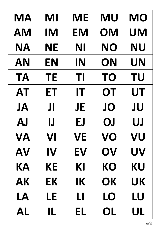| <b>MA</b> | MI        | <b>ME</b> | <b>MU</b> | <b>MO</b> |
|-----------|-----------|-----------|-----------|-----------|
| <b>AM</b> | <b>IM</b> | <b>EM</b> | OM        | <b>UM</b> |
| <b>NA</b> | <b>NE</b> | NI        | <b>NO</b> | <b>NU</b> |
| AN        | <b>EN</b> | IN        | ON        | UN        |
| <b>TA</b> | <b>TE</b> | TI        | <b>TO</b> | <b>TU</b> |
| <b>AT</b> | ET        | IT        | OT        | <b>UT</b> |
| <b>JA</b> | JI        | <b>JE</b> | JO        | JU        |
| <b>AJ</b> | IJ        | EJ        | OJ        | UJ        |
| VA        | VI        | <b>VE</b> | VO        | VU        |
| AV        | IV        | EV        | OV        | UV        |
| KА        | КE        | KI        | КO        | KU        |
| AK        | EК        | IK        | OK        | UK        |
| LA        | LE        | LI        | LO        | LU        |
| AL        | IL        | EL        | OL        | UL        |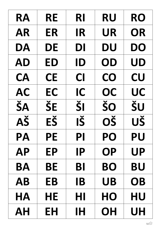| RA        | RE        | RI        | <b>RU</b> | <b>RO</b> |
|-----------|-----------|-----------|-----------|-----------|
| <b>AR</b> | ER        | <b>IR</b> | <b>UR</b> | OR        |
| DA        | DE        | DI        | <b>DU</b> | DO        |
| AD        | ED        | ID        | OD        | <b>UD</b> |
| <b>CA</b> | <b>CE</b> | CI        | CO        | CU        |
| <b>AC</b> | EC        | IC        | OC        | UC        |
| ŠA        | ŠE        | ŠI        | ŠO        | ŠU        |
| AŠ        | EŠ        | IŠ        | OŠ        | UŠ        |
| PA        | <b>PE</b> | PI        | PO        | <b>PU</b> |
| <b>AP</b> | EP        | <b>IP</b> | <b>OP</b> | <b>UP</b> |
| BA        | ΒE        | Bl        | BO        | BU        |
| <b>AB</b> | EB        | <b>IB</b> | <b>UB</b> | <b>OB</b> |
| HA        | HE        | HI        | HO        | HU        |
| AH        | EΗ        | IH        | OH        | UH        |